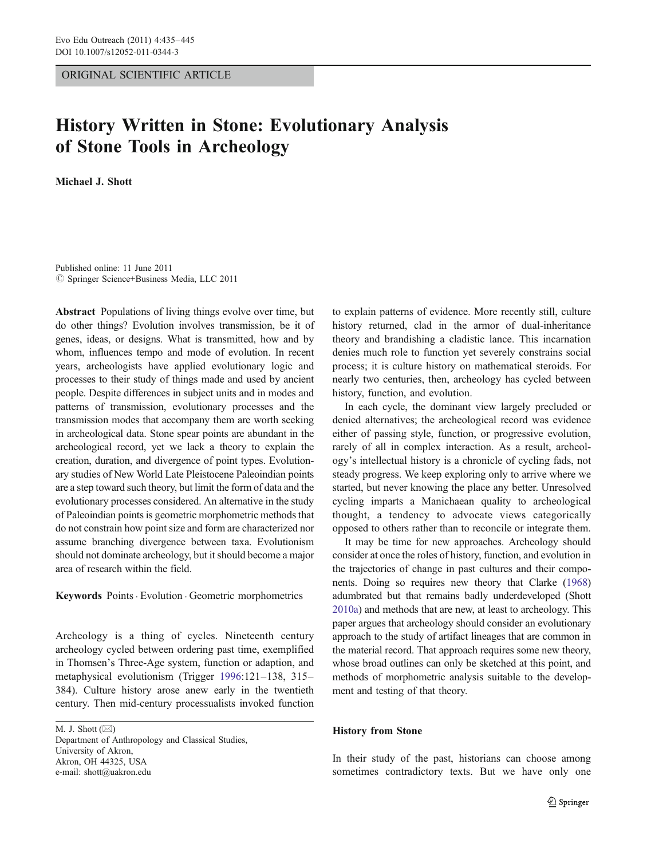ORIGINAL SCIENTIFIC ARTICLE

# History Written in Stone: Evolutionary Analysis of Stone Tools in Archeology

Michael J. Shott

Published online: 11 June 2011  $©$  Springer Science+Business Media, LLC 2011

Abstract Populations of living things evolve over time, but do other things? Evolution involves transmission, be it of genes, ideas, or designs. What is transmitted, how and by whom, influences tempo and mode of evolution. In recent years, archeologists have applied evolutionary logic and processes to their study of things made and used by ancient people. Despite differences in subject units and in modes and patterns of transmission, evolutionary processes and the transmission modes that accompany them are worth seeking in archeological data. Stone spear points are abundant in the archeological record, yet we lack a theory to explain the creation, duration, and divergence of point types. Evolutionary studies of New World Late Pleistocene Paleoindian points are a step toward such theory, but limit the form of data and the evolutionary processes considered. An alternative in the study of Paleoindian points is geometric morphometric methods that do not constrain how point size and form are characterized nor assume branching divergence between taxa. Evolutionism should not dominate archeology, but it should become a major area of research within the field.

Keywords Points · Evolution · Geometric morphometrics

Archeology is a thing of cycles. Nineteenth century archeology cycled between ordering past time, exemplified in Thomsen's Three-Age system, function or adaption, and metaphysical evolutionism (Trigger [1996](#page-10-0):121–138, 315– 384). Culture history arose anew early in the twentieth century. Then mid-century processualists invoked function

M. J. Shott  $(\boxtimes)$ Department of Anthropology and Classical Studies, University of Akron, Akron, OH 44325, USA e-mail: shott@uakron.edu

to explain patterns of evidence. More recently still, culture history returned, clad in the armor of dual-inheritance theory and brandishing a cladistic lance. This incarnation denies much role to function yet severely constrains social process; it is culture history on mathematical steroids. For nearly two centuries, then, archeology has cycled between history, function, and evolution.

In each cycle, the dominant view largely precluded or denied alternatives; the archeological record was evidence either of passing style, function, or progressive evolution, rarely of all in complex interaction. As a result, archeology's intellectual history is a chronicle of cycling fads, not steady progress. We keep exploring only to arrive where we started, but never knowing the place any better. Unresolved cycling imparts a Manichaean quality to archeological thought, a tendency to advocate views categorically opposed to others rather than to reconcile or integrate them.

It may be time for new approaches. Archeology should consider at once the roles of history, function, and evolution in the trajectories of change in past cultures and their components. Doing so requires new theory that Clarke [\(1968](#page-9-0)) adumbrated but that remains badly underdeveloped (Shott [2010a\)](#page-10-0) and methods that are new, at least to archeology. This paper argues that archeology should consider an evolutionary approach to the study of artifact lineages that are common in the material record. That approach requires some new theory, whose broad outlines can only be sketched at this point, and methods of morphometric analysis suitable to the development and testing of that theory.

# History from Stone

In their study of the past, historians can choose among sometimes contradictory texts. But we have only one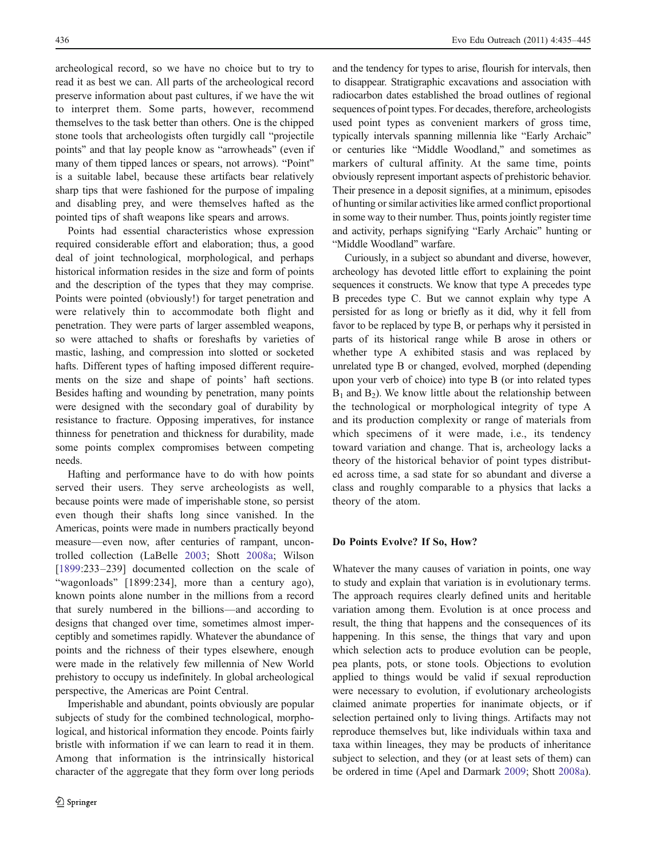archeological record, so we have no choice but to try to read it as best we can. All parts of the archeological record preserve information about past cultures, if we have the wit to interpret them. Some parts, however, recommend themselves to the task better than others. One is the chipped stone tools that archeologists often turgidly call "projectile points" and that lay people know as "arrowheads" (even if many of them tipped lances or spears, not arrows). "Point" is a suitable label, because these artifacts bear relatively sharp tips that were fashioned for the purpose of impaling and disabling prey, and were themselves hafted as the pointed tips of shaft weapons like spears and arrows.

Points had essential characteristics whose expression required considerable effort and elaboration; thus, a good deal of joint technological, morphological, and perhaps historical information resides in the size and form of points and the description of the types that they may comprise. Points were pointed (obviously!) for target penetration and were relatively thin to accommodate both flight and penetration. They were parts of larger assembled weapons, so were attached to shafts or foreshafts by varieties of mastic, lashing, and compression into slotted or socketed hafts. Different types of hafting imposed different requirements on the size and shape of points' haft sections. Besides hafting and wounding by penetration, many points were designed with the secondary goal of durability by resistance to fracture. Opposing imperatives, for instance thinness for penetration and thickness for durability, made some points complex compromises between competing needs.

Hafting and performance have to do with how points served their users. They serve archeologists as well, because points were made of imperishable stone, so persist even though their shafts long since vanished. In the Americas, points were made in numbers practically beyond measure—even now, after centuries of rampant, uncontrolled collection (LaBelle [2003](#page-10-0); Shott [2008a;](#page-10-0) Wilson [\[1899](#page-10-0):233–239] documented collection on the scale of "wagonloads" [1899:234], more than a century ago), known points alone number in the millions from a record that surely numbered in the billions—and according to designs that changed over time, sometimes almost imperceptibly and sometimes rapidly. Whatever the abundance of points and the richness of their types elsewhere, enough were made in the relatively few millennia of New World prehistory to occupy us indefinitely. In global archeological perspective, the Americas are Point Central.

Imperishable and abundant, points obviously are popular subjects of study for the combined technological, morphological, and historical information they encode. Points fairly bristle with information if we can learn to read it in them. Among that information is the intrinsically historical character of the aggregate that they form over long periods

and the tendency for types to arise, flourish for intervals, then to disappear. Stratigraphic excavations and association with radiocarbon dates established the broad outlines of regional sequences of point types. For decades, therefore, archeologists used point types as convenient markers of gross time, typically intervals spanning millennia like "Early Archaic" or centuries like "Middle Woodland," and sometimes as markers of cultural affinity. At the same time, points obviously represent important aspects of prehistoric behavior. Their presence in a deposit signifies, at a minimum, episodes of hunting or similar activities like armed conflict proportional in some way to their number. Thus, points jointly register time and activity, perhaps signifying "Early Archaic" hunting or "Middle Woodland" warfare.

Curiously, in a subject so abundant and diverse, however, archeology has devoted little effort to explaining the point sequences it constructs. We know that type A precedes type B precedes type C. But we cannot explain why type A persisted for as long or briefly as it did, why it fell from favor to be replaced by type B, or perhaps why it persisted in parts of its historical range while B arose in others or whether type A exhibited stasis and was replaced by unrelated type B or changed, evolved, morphed (depending upon your verb of choice) into type B (or into related types  $B_1$  and  $B_2$ ). We know little about the relationship between the technological or morphological integrity of type A and its production complexity or range of materials from which specimens of it were made, i.e., its tendency toward variation and change. That is, archeology lacks a theory of the historical behavior of point types distributed across time, a sad state for so abundant and diverse a class and roughly comparable to a physics that lacks a theory of the atom.

# Do Points Evolve? If So, How?

Whatever the many causes of variation in points, one way to study and explain that variation is in evolutionary terms. The approach requires clearly defined units and heritable variation among them. Evolution is at once process and result, the thing that happens and the consequences of its happening. In this sense, the things that vary and upon which selection acts to produce evolution can be people, pea plants, pots, or stone tools. Objections to evolution applied to things would be valid if sexual reproduction were necessary to evolution, if evolutionary archeologists claimed animate properties for inanimate objects, or if selection pertained only to living things. Artifacts may not reproduce themselves but, like individuals within taxa and taxa within lineages, they may be products of inheritance subject to selection, and they (or at least sets of them) can be ordered in time (Apel and Darmark [2009](#page-9-0); Shott [2008a\)](#page-10-0).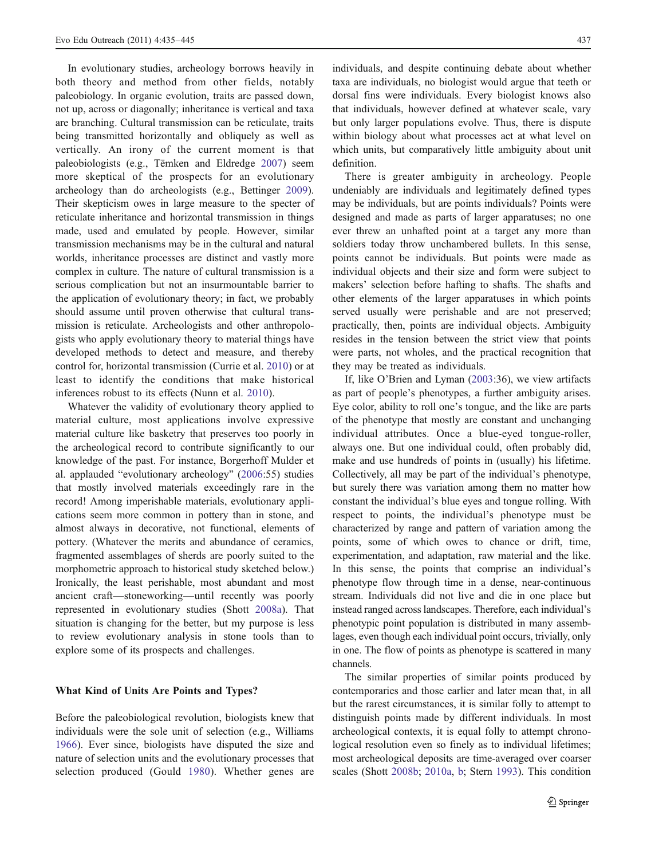In evolutionary studies, archeology borrows heavily in both theory and method from other fields, notably paleobiology. In organic evolution, traits are passed down, not up, across or diagonally; inheritance is vertical and taxa are branching. Cultural transmission can be reticulate, traits being transmitted horizontally and obliquely as well as vertically. An irony of the current moment is that paleobiologists (e.g., Tëmken and Eldredge [2007](#page-10-0)) seem more skeptical of the prospects for an evolutionary archeology than do archeologists (e.g., Bettinger [2009](#page-9-0)). Their skepticism owes in large measure to the specter of reticulate inheritance and horizontal transmission in things made, used and emulated by people. However, similar transmission mechanisms may be in the cultural and natural worlds, inheritance processes are distinct and vastly more complex in culture. The nature of cultural transmission is a serious complication but not an insurmountable barrier to the application of evolutionary theory; in fact, we probably should assume until proven otherwise that cultural transmission is reticulate. Archeologists and other anthropologists who apply evolutionary theory to material things have developed methods to detect and measure, and thereby control for, horizontal transmission (Currie et al. [2010](#page-10-0)) or at least to identify the conditions that make historical inferences robust to its effects (Nunn et al. [2010](#page-10-0)).

Whatever the validity of evolutionary theory applied to material culture, most applications involve expressive material culture like basketry that preserves too poorly in the archeological record to contribute significantly to our knowledge of the past. For instance, Borgerhoff Mulder et al. applauded "evolutionary archeology" [\(2006](#page-9-0):55) studies that mostly involved materials exceedingly rare in the record! Among imperishable materials, evolutionary applications seem more common in pottery than in stone, and almost always in decorative, not functional, elements of pottery. (Whatever the merits and abundance of ceramics, fragmented assemblages of sherds are poorly suited to the morphometric approach to historical study sketched below.) Ironically, the least perishable, most abundant and most ancient craft—stoneworking—until recently was poorly represented in evolutionary studies (Shott [2008a](#page-10-0)). That situation is changing for the better, but my purpose is less to review evolutionary analysis in stone tools than to explore some of its prospects and challenges.

#### What Kind of Units Are Points and Types?

Before the paleobiological revolution, biologists knew that individuals were the sole unit of selection (e.g., Williams [1966\)](#page-10-0). Ever since, biologists have disputed the size and nature of selection units and the evolutionary processes that selection produced (Gould [1980\)](#page-10-0). Whether genes are

individuals, and despite continuing debate about whether taxa are individuals, no biologist would argue that teeth or dorsal fins were individuals. Every biologist knows also that individuals, however defined at whatever scale, vary but only larger populations evolve. Thus, there is dispute within biology about what processes act at what level on which units, but comparatively little ambiguity about unit definition.

There is greater ambiguity in archeology. People undeniably are individuals and legitimately defined types may be individuals, but are points individuals? Points were designed and made as parts of larger apparatuses; no one ever threw an unhafted point at a target any more than soldiers today throw unchambered bullets. In this sense, points cannot be individuals. But points were made as individual objects and their size and form were subject to makers' selection before hafting to shafts. The shafts and other elements of the larger apparatuses in which points served usually were perishable and are not preserved; practically, then, points are individual objects. Ambiguity resides in the tension between the strict view that points were parts, not wholes, and the practical recognition that they may be treated as individuals.

If, like O'Brien and Lyman [\(2003](#page-10-0):36), we view artifacts as part of people's phenotypes, a further ambiguity arises. Eye color, ability to roll one's tongue, and the like are parts of the phenotype that mostly are constant and unchanging individual attributes. Once a blue-eyed tongue-roller, always one. But one individual could, often probably did, make and use hundreds of points in (usually) his lifetime. Collectively, all may be part of the individual's phenotype, but surely there was variation among them no matter how constant the individual's blue eyes and tongue rolling. With respect to points, the individual's phenotype must be characterized by range and pattern of variation among the points, some of which owes to chance or drift, time, experimentation, and adaptation, raw material and the like. In this sense, the points that comprise an individual's phenotype flow through time in a dense, near-continuous stream. Individuals did not live and die in one place but instead ranged across landscapes. Therefore, each individual's phenotypic point population is distributed in many assemblages, even though each individual point occurs, trivially, only in one. The flow of points as phenotype is scattered in many channels.

The similar properties of similar points produced by contemporaries and those earlier and later mean that, in all but the rarest circumstances, it is similar folly to attempt to distinguish points made by different individuals. In most archeological contexts, it is equal folly to attempt chronological resolution even so finely as to individual lifetimes; most archeological deposits are time-averaged over coarser scales (Shott [2008b](#page-10-0); [2010a,](#page-10-0) [b;](#page-10-0) Stern [1993\)](#page-10-0). This condition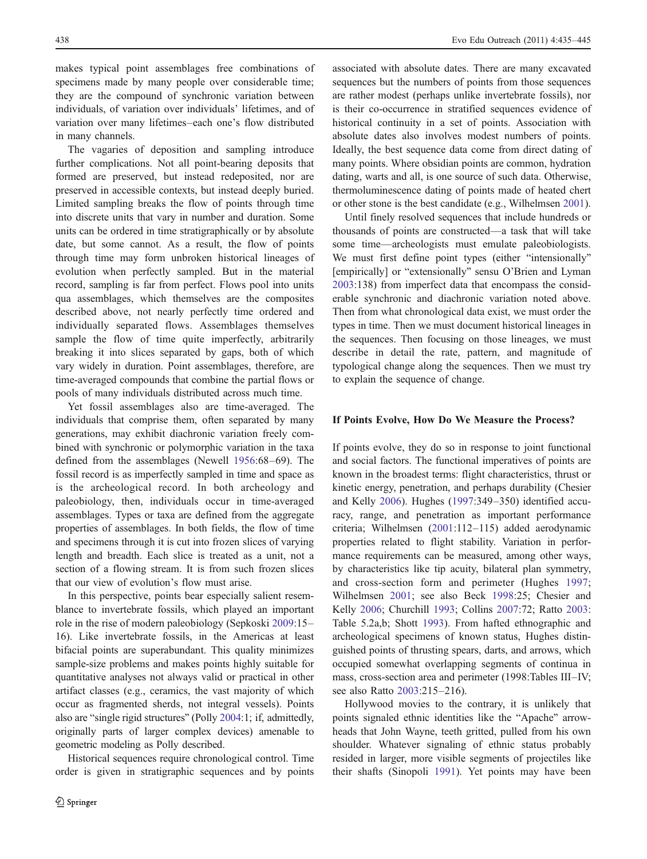makes typical point assemblages free combinations of specimens made by many people over considerable time; they are the compound of synchronic variation between individuals, of variation over individuals' lifetimes, and of variation over many lifetimes–each one's flow distributed in many channels.

The vagaries of deposition and sampling introduce further complications. Not all point-bearing deposits that formed are preserved, but instead redeposited, nor are preserved in accessible contexts, but instead deeply buried. Limited sampling breaks the flow of points through time into discrete units that vary in number and duration. Some units can be ordered in time stratigraphically or by absolute date, but some cannot. As a result, the flow of points through time may form unbroken historical lineages of evolution when perfectly sampled. But in the material record, sampling is far from perfect. Flows pool into units qua assemblages, which themselves are the composites described above, not nearly perfectly time ordered and individually separated flows. Assemblages themselves sample the flow of time quite imperfectly, arbitrarily breaking it into slices separated by gaps, both of which vary widely in duration. Point assemblages, therefore, are time-averaged compounds that combine the partial flows or pools of many individuals distributed across much time.

Yet fossil assemblages also are time-averaged. The individuals that comprise them, often separated by many generations, may exhibit diachronic variation freely combined with synchronic or polymorphic variation in the taxa defined from the assemblages (Newell [1956:](#page-10-0)68–69). The fossil record is as imperfectly sampled in time and space as is the archeological record. In both archeology and paleobiology, then, individuals occur in time-averaged assemblages. Types or taxa are defined from the aggregate properties of assemblages. In both fields, the flow of time and specimens through it is cut into frozen slices of varying length and breadth. Each slice is treated as a unit, not a section of a flowing stream. It is from such frozen slices that our view of evolution's flow must arise.

In this perspective, points bear especially salient resemblance to invertebrate fossils, which played an important role in the rise of modern paleobiology (Sepkoski [2009:](#page-10-0)15– 16). Like invertebrate fossils, in the Americas at least bifacial points are superabundant. This quality minimizes sample-size problems and makes points highly suitable for quantitative analyses not always valid or practical in other artifact classes (e.g., ceramics, the vast majority of which occur as fragmented sherds, not integral vessels). Points also are "single rigid structures" (Polly [2004:](#page-10-0)1; if, admittedly, originally parts of larger complex devices) amenable to geometric modeling as Polly described.

Historical sequences require chronological control. Time order is given in stratigraphic sequences and by points

associated with absolute dates. There are many excavated sequences but the numbers of points from those sequences are rather modest (perhaps unlike invertebrate fossils), nor is their co-occurrence in stratified sequences evidence of historical continuity in a set of points. Association with absolute dates also involves modest numbers of points. Ideally, the best sequence data come from direct dating of many points. Where obsidian points are common, hydration dating, warts and all, is one source of such data. Otherwise, thermoluminescence dating of points made of heated chert or other stone is the best candidate (e.g., Wilhelmsen [2001\)](#page-10-0).

Until finely resolved sequences that include hundreds or thousands of points are constructed—a task that will take some time—archeologists must emulate paleobiologists. We must first define point types (either "intensionally" [empirically] or "extensionally" sensu O'Brien and Lyman [2003](#page-10-0):138) from imperfect data that encompass the considerable synchronic and diachronic variation noted above. Then from what chronological data exist, we must order the types in time. Then we must document historical lineages in the sequences. Then focusing on those lineages, we must describe in detail the rate, pattern, and magnitude of typological change along the sequences. Then we must try to explain the sequence of change.

## If Points Evolve, How Do We Measure the Process?

If points evolve, they do so in response to joint functional and social factors. The functional imperatives of points are known in the broadest terms: flight characteristics, thrust or kinetic energy, penetration, and perhaps durability (Chesier and Kelly [2006\)](#page-9-0). Hughes [\(1997](#page-10-0):349–350) identified accuracy, range, and penetration as important performance criteria; Wilhelmsen ([2001:](#page-10-0)112–115) added aerodynamic properties related to flight stability. Variation in performance requirements can be measured, among other ways, by characteristics like tip acuity, bilateral plan symmetry, and cross-section form and perimeter (Hughes [1997;](#page-10-0) Wilhelmsen [2001](#page-10-0); see also Beck [1998](#page-9-0):25; Chesier and Kelly [2006;](#page-9-0) Churchill [1993;](#page-9-0) Collins [2007:](#page-9-0)72; Ratto [2003:](#page-10-0) Table 5.2a,b; Shott [1993\)](#page-10-0). From hafted ethnographic and archeological specimens of known status, Hughes distinguished points of thrusting spears, darts, and arrows, which occupied somewhat overlapping segments of continua in mass, cross-section area and perimeter (1998:Tables III–IV; see also Ratto [2003:](#page-10-0)215–216).

Hollywood movies to the contrary, it is unlikely that points signaled ethnic identities like the "Apache" arrowheads that John Wayne, teeth gritted, pulled from his own shoulder. Whatever signaling of ethnic status probably resided in larger, more visible segments of projectiles like their shafts (Sinopoli [1991\)](#page-10-0). Yet points may have been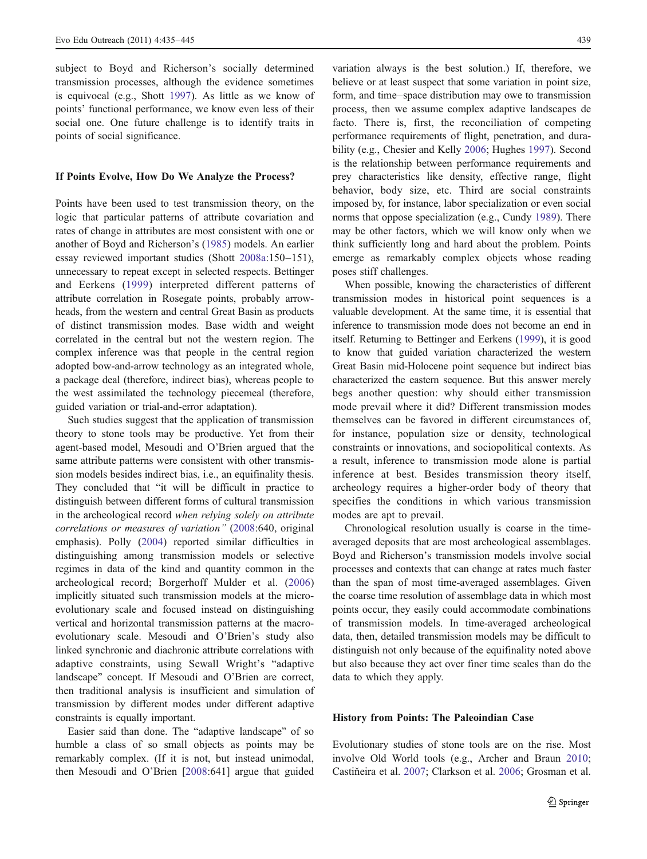subject to Boyd and Richerson's socially determined transmission processes, although the evidence sometimes is equivocal (e.g., Shott [1997\)](#page-10-0). As little as we know of points' functional performance, we know even less of their social one. One future challenge is to identify traits in points of social significance.

#### If Points Evolve, How Do We Analyze the Process?

Points have been used to test transmission theory, on the logic that particular patterns of attribute covariation and rates of change in attributes are most consistent with one or another of Boyd and Richerson's [\(1985](#page-9-0)) models. An earlier essay reviewed important studies (Shott [2008a:](#page-10-0)150–151), unnecessary to repeat except in selected respects. Bettinger and Eerkens ([1999\)](#page-9-0) interpreted different patterns of attribute correlation in Rosegate points, probably arrowheads, from the western and central Great Basin as products of distinct transmission modes. Base width and weight correlated in the central but not the western region. The complex inference was that people in the central region adopted bow-and-arrow technology as an integrated whole, a package deal (therefore, indirect bias), whereas people to the west assimilated the technology piecemeal (therefore, guided variation or trial-and-error adaptation).

Such studies suggest that the application of transmission theory to stone tools may be productive. Yet from their agent-based model, Mesoudi and O'Brien argued that the same attribute patterns were consistent with other transmission models besides indirect bias, i.e., an equifinality thesis. They concluded that "it will be difficult in practice to distinguish between different forms of cultural transmission in the archeological record when relying solely on attribute correlations or measures of variation" ([2008:](#page-10-0)640, original emphasis). Polly [\(2004](#page-10-0)) reported similar difficulties in distinguishing among transmission models or selective regimes in data of the kind and quantity common in the archeological record; Borgerhoff Mulder et al. ([2006\)](#page-9-0) implicitly situated such transmission models at the microevolutionary scale and focused instead on distinguishing vertical and horizontal transmission patterns at the macroevolutionary scale. Mesoudi and O'Brien's study also linked synchronic and diachronic attribute correlations with adaptive constraints, using Sewall Wright's "adaptive landscape" concept. If Mesoudi and O'Brien are correct, then traditional analysis is insufficient and simulation of transmission by different modes under different adaptive constraints is equally important.

Easier said than done. The "adaptive landscape" of so humble a class of so small objects as points may be remarkably complex. (If it is not, but instead unimodal, then Mesoudi and O'Brien [[2008:](#page-10-0)641] argue that guided

variation always is the best solution.) If, therefore, we believe or at least suspect that some variation in point size, form, and time–space distribution may owe to transmission process, then we assume complex adaptive landscapes de facto. There is, first, the reconciliation of competing performance requirements of flight, penetration, and durability (e.g., Chesier and Kelly [2006;](#page-9-0) Hughes [1997](#page-10-0)). Second is the relationship between performance requirements and prey characteristics like density, effective range, flight behavior, body size, etc. Third are social constraints imposed by, for instance, labor specialization or even social norms that oppose specialization (e.g., Cundy [1989\)](#page-10-0). There may be other factors, which we will know only when we think sufficiently long and hard about the problem. Points emerge as remarkably complex objects whose reading poses stiff challenges.

When possible, knowing the characteristics of different transmission modes in historical point sequences is a valuable development. At the same time, it is essential that inference to transmission mode does not become an end in itself. Returning to Bettinger and Eerkens ([1999](#page-9-0)), it is good to know that guided variation characterized the western Great Basin mid-Holocene point sequence but indirect bias characterized the eastern sequence. But this answer merely begs another question: why should either transmission mode prevail where it did? Different transmission modes themselves can be favored in different circumstances of, for instance, population size or density, technological constraints or innovations, and sociopolitical contexts. As a result, inference to transmission mode alone is partial inference at best. Besides transmission theory itself, archeology requires a higher-order body of theory that specifies the conditions in which various transmission modes are apt to prevail.

Chronological resolution usually is coarse in the timeaveraged deposits that are most archeological assemblages. Boyd and Richerson's transmission models involve social processes and contexts that can change at rates much faster than the span of most time-averaged assemblages. Given the coarse time resolution of assemblage data in which most points occur, they easily could accommodate combinations of transmission models. In time-averaged archeological data, then, detailed transmission models may be difficult to distinguish not only because of the equifinality noted above but also because they act over finer time scales than do the data to which they apply.

#### History from Points: The Paleoindian Case

Evolutionary studies of stone tools are on the rise. Most involve Old World tools (e.g., Archer and Braun [2010;](#page-9-0) Castiňeira et al. [2007;](#page-9-0) Clarkson et al. [2006](#page-9-0); Grosman et al.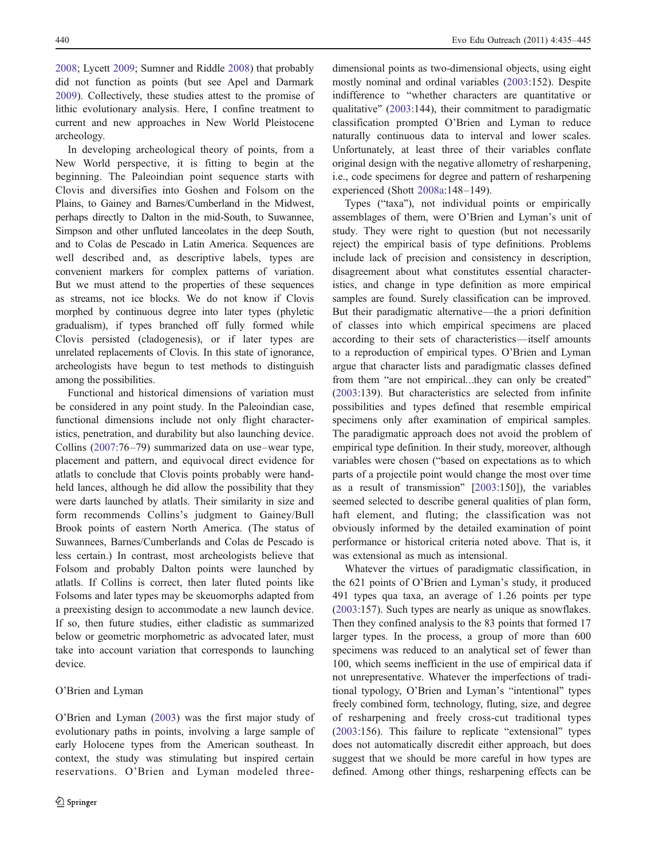[2008;](#page-10-0) Lycett [2009](#page-10-0); Sumner and Riddle [2008](#page-10-0)) that probably did not function as points (but see Apel and Darmark [2009\)](#page-9-0). Collectively, these studies attest to the promise of lithic evolutionary analysis. Here, I confine treatment to current and new approaches in New World Pleistocene archeology.

In developing archeological theory of points, from a New World perspective, it is fitting to begin at the beginning. The Paleoindian point sequence starts with Clovis and diversifies into Goshen and Folsom on the Plains, to Gainey and Barnes/Cumberland in the Midwest, perhaps directly to Dalton in the mid-South, to Suwannee, Simpson and other unfluted lanceolates in the deep South, and to Colas de Pescado in Latin America. Sequences are well described and, as descriptive labels, types are convenient markers for complex patterns of variation. But we must attend to the properties of these sequences as streams, not ice blocks. We do not know if Clovis morphed by continuous degree into later types (phyletic gradualism), if types branched off fully formed while Clovis persisted (cladogenesis), or if later types are unrelated replacements of Clovis. In this state of ignorance, archeologists have begun to test methods to distinguish among the possibilities.

Functional and historical dimensions of variation must be considered in any point study. In the Paleoindian case, functional dimensions include not only flight characteristics, penetration, and durability but also launching device. Collins ([2007](#page-9-0):76–79) summarized data on use–wear type, placement and pattern, and equivocal direct evidence for atlatls to conclude that Clovis points probably were handheld lances, although he did allow the possibility that they were darts launched by atlatls. Their similarity in size and form recommends Collins's judgment to Gainey/Bull Brook points of eastern North America. (The status of Suwannees, Barnes/Cumberlands and Colas de Pescado is less certain.) In contrast, most archeologists believe that Folsom and probably Dalton points were launched by atlatls. If Collins is correct, then later fluted points like Folsoms and later types may be skeuomorphs adapted from a preexisting design to accommodate a new launch device. If so, then future studies, either cladistic as summarized below or geometric morphometric as advocated later, must take into account variation that corresponds to launching device.

#### O'Brien and Lyman

O'Brien and Lyman [\(2003](#page-10-0)) was the first major study of evolutionary paths in points, involving a large sample of early Holocene types from the American southeast. In context, the study was stimulating but inspired certain reservations. O'Brien and Lyman modeled three-

dimensional points as two-dimensional objects, using eight mostly nominal and ordinal variables ([2003:](#page-10-0)152). Despite indifference to "whether characters are quantitative or qualitative" ([2003:](#page-10-0)144), their commitment to paradigmatic classification prompted O'Brien and Lyman to reduce naturally continuous data to interval and lower scales. Unfortunately, at least three of their variables conflate original design with the negative allometry of resharpening, i.e., code specimens for degree and pattern of resharpening experienced (Shott [2008a:](#page-10-0)148–149).

Types ("taxa"), not individual points or empirically assemblages of them, were O'Brien and Lyman's unit of study. They were right to question (but not necessarily reject) the empirical basis of type definitions. Problems include lack of precision and consistency in description, disagreement about what constitutes essential characteristics, and change in type definition as more empirical samples are found. Surely classification can be improved. But their paradigmatic alternative—the a priori definition of classes into which empirical specimens are placed according to their sets of characteristics—itself amounts to a reproduction of empirical types. O'Brien and Lyman argue that character lists and paradigmatic classes defined from them "are not empirical…they can only be created" [\(2003](#page-10-0):139). But characteristics are selected from infinite possibilities and types defined that resemble empirical specimens only after examination of empirical samples. The paradigmatic approach does not avoid the problem of empirical type definition. In their study, moreover, although variables were chosen ("based on expectations as to which parts of a projectile point would change the most over time as a result of transmission" [\[2003](#page-10-0):150]), the variables seemed selected to describe general qualities of plan form, haft element, and fluting; the classification was not obviously informed by the detailed examination of point performance or historical criteria noted above. That is, it was extensional as much as intensional.

Whatever the virtues of paradigmatic classification, in the 621 points of O'Brien and Lyman's study, it produced 491 types qua taxa, an average of 1.26 points per type [\(2003](#page-10-0):157). Such types are nearly as unique as snowflakes. Then they confined analysis to the 83 points that formed 17 larger types. In the process, a group of more than 600 specimens was reduced to an analytical set of fewer than 100, which seems inefficient in the use of empirical data if not unrepresentative. Whatever the imperfections of traditional typology, O'Brien and Lyman's "intentional" types freely combined form, technology, fluting, size, and degree of resharpening and freely cross-cut traditional types [\(2003](#page-10-0):156). This failure to replicate "extensional" types does not automatically discredit either approach, but does suggest that we should be more careful in how types are defined. Among other things, resharpening effects can be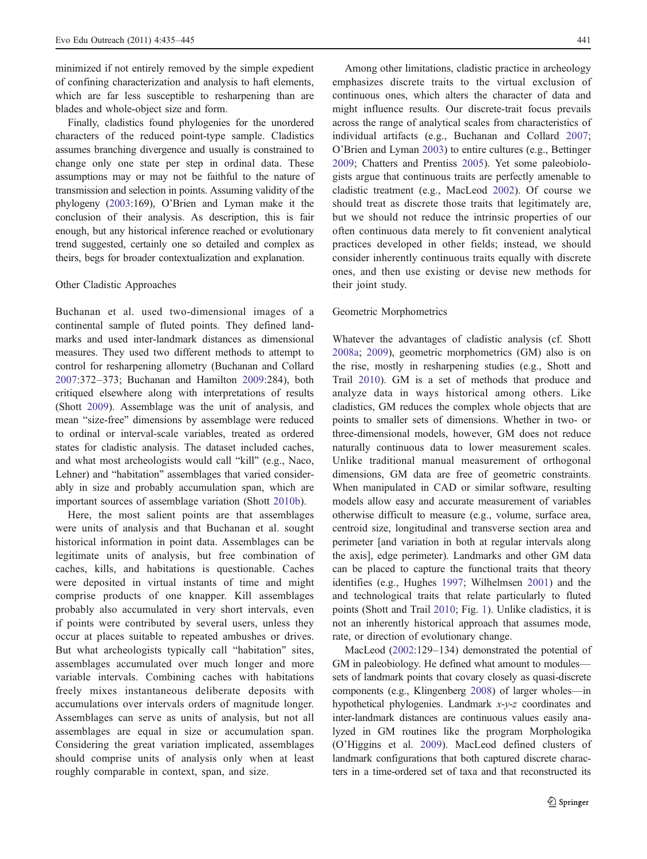minimized if not entirely removed by the simple expedient of confining characterization and analysis to haft elements, which are far less susceptible to resharpening than are blades and whole-object size and form.

Finally, cladistics found phylogenies for the unordered characters of the reduced point-type sample. Cladistics assumes branching divergence and usually is constrained to change only one state per step in ordinal data. These assumptions may or may not be faithful to the nature of transmission and selection in points. Assuming validity of the phylogeny ([2003](#page-10-0):169), O'Brien and Lyman make it the conclusion of their analysis. As description, this is fair enough, but any historical inference reached or evolutionary trend suggested, certainly one so detailed and complex as theirs, begs for broader contextualization and explanation.

# Other Cladistic Approaches

Buchanan et al. used two-dimensional images of a continental sample of fluted points. They defined landmarks and used inter-landmark distances as dimensional measures. They used two different methods to attempt to control for resharpening allometry (Buchanan and Collard [2007:](#page-9-0)372–373; Buchanan and Hamilton [2009](#page-9-0):284), both critiqued elsewhere along with interpretations of results (Shott [2009](#page-10-0)). Assemblage was the unit of analysis, and mean "size-free" dimensions by assemblage were reduced to ordinal or interval-scale variables, treated as ordered states for cladistic analysis. The dataset included caches, and what most archeologists would call "kill" (e.g., Naco, Lehner) and "habitation" assemblages that varied considerably in size and probably accumulation span, which are important sources of assemblage variation (Shott [2010b\)](#page-10-0).

Here, the most salient points are that assemblages were units of analysis and that Buchanan et al. sought historical information in point data. Assemblages can be legitimate units of analysis, but free combination of caches, kills, and habitations is questionable. Caches were deposited in virtual instants of time and might comprise products of one knapper. Kill assemblages probably also accumulated in very short intervals, even if points were contributed by several users, unless they occur at places suitable to repeated ambushes or drives. But what archeologists typically call "habitation" sites, assemblages accumulated over much longer and more variable intervals. Combining caches with habitations freely mixes instantaneous deliberate deposits with accumulations over intervals orders of magnitude longer. Assemblages can serve as units of analysis, but not all assemblages are equal in size or accumulation span. Considering the great variation implicated, assemblages should comprise units of analysis only when at least roughly comparable in context, span, and size.

Among other limitations, cladistic practice in archeology emphasizes discrete traits to the virtual exclusion of continuous ones, which alters the character of data and might influence results. Our discrete-trait focus prevails across the range of analytical scales from characteristics of individual artifacts (e.g., Buchanan and Collard [2007;](#page-9-0) O'Brien and Lyman [2003\)](#page-10-0) to entire cultures (e.g., Bettinger [2009](#page-9-0); Chatters and Prentiss [2005\)](#page-9-0). Yet some paleobiologists argue that continuous traits are perfectly amenable to cladistic treatment (e.g., MacLeod [2002\)](#page-10-0). Of course we should treat as discrete those traits that legitimately are, but we should not reduce the intrinsic properties of our often continuous data merely to fit convenient analytical practices developed in other fields; instead, we should consider inherently continuous traits equally with discrete ones, and then use existing or devise new methods for their joint study.

#### Geometric Morphometrics

Whatever the advantages of cladistic analysis (cf. Shott [2008a](#page-10-0); [2009\)](#page-10-0), geometric morphometrics (GM) also is on the rise, mostly in resharpening studies (e.g., Shott and Trail [2010](#page-10-0)). GM is a set of methods that produce and analyze data in ways historical among others. Like cladistics, GM reduces the complex whole objects that are points to smaller sets of dimensions. Whether in two- or three-dimensional models, however, GM does not reduce naturally continuous data to lower measurement scales. Unlike traditional manual measurement of orthogonal dimensions, GM data are free of geometric constraints. When manipulated in CAD or similar software, resulting models allow easy and accurate measurement of variables otherwise difficult to measure (e.g., volume, surface area, centroid size, longitudinal and transverse section area and perimeter [and variation in both at regular intervals along the axis], edge perimeter). Landmarks and other GM data can be placed to capture the functional traits that theory identifies (e.g., Hughes [1997;](#page-10-0) Wilhelmsen [2001\)](#page-10-0) and the and technological traits that relate particularly to fluted points (Shott and Trail [2010](#page-10-0); Fig. [1\)](#page-7-0). Unlike cladistics, it is not an inherently historical approach that assumes mode, rate, or direction of evolutionary change.

MacLeod [\(2002](#page-10-0):129–134) demonstrated the potential of GM in paleobiology. He defined what amount to modules– sets of landmark points that covary closely as quasi-discrete components (e.g., Klingenberg [2008\)](#page-10-0) of larger wholes—in hypothetical phylogenies. Landmark x-y-z coordinates and inter-landmark distances are continuous values easily analyzed in GM routines like the program Morphologika (O'Higgins et al. [2009](#page-10-0)). MacLeod defined clusters of landmark configurations that both captured discrete characters in a time-ordered set of taxa and that reconstructed its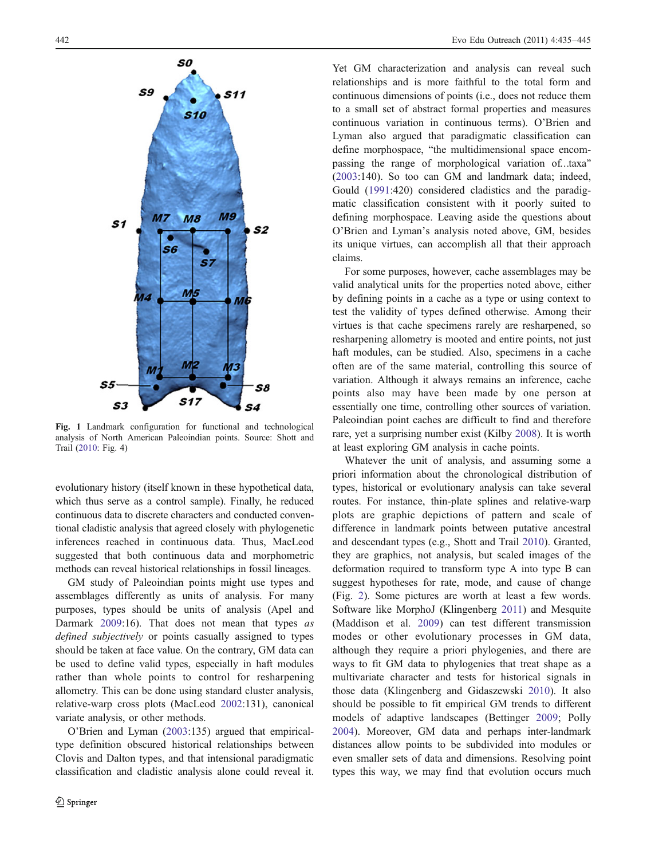<span id="page-7-0"></span>

Fig. 1 Landmark configuration for functional and technological analysis of North American Paleoindian points. Source: Shott and Trail [\(2010](#page-10-0): Fig. 4)

evolutionary history (itself known in these hypothetical data, which thus serve as a control sample). Finally, he reduced continuous data to discrete characters and conducted conventional cladistic analysis that agreed closely with phylogenetic inferences reached in continuous data. Thus, MacLeod suggested that both continuous data and morphometric methods can reveal historical relationships in fossil lineages.

GM study of Paleoindian points might use types and assemblages differently as units of analysis. For many purposes, types should be units of analysis (Apel and Darmark [2009](#page-9-0):16). That does not mean that types as defined *subjectively* or points casually assigned to types should be taken at face value. On the contrary, GM data can be used to define valid types, especially in haft modules rather than whole points to control for resharpening allometry. This can be done using standard cluster analysis, relative-warp cross plots (MacLeod [2002](#page-10-0):131), canonical variate analysis, or other methods.

O'Brien and Lyman [\(2003](#page-10-0):135) argued that empiricaltype definition obscured historical relationships between Clovis and Dalton types, and that intensional paradigmatic classification and cladistic analysis alone could reveal it.

Yet GM characterization and analysis can reveal such relationships and is more faithful to the total form and continuous dimensions of points (i.e., does not reduce them to a small set of abstract formal properties and measures continuous variation in continuous terms). O'Brien and Lyman also argued that paradigmatic classification can define morphospace, "the multidimensional space encompassing the range of morphological variation of…taxa" [\(2003](#page-10-0):140). So too can GM and landmark data; indeed, Gould [\(1991](#page-10-0):420) considered cladistics and the paradigmatic classification consistent with it poorly suited to defining morphospace. Leaving aside the questions about O'Brien and Lyman's analysis noted above, GM, besides its unique virtues, can accomplish all that their approach claims.

For some purposes, however, cache assemblages may be valid analytical units for the properties noted above, either by defining points in a cache as a type or using context to test the validity of types defined otherwise. Among their virtues is that cache specimens rarely are resharpened, so resharpening allometry is mooted and entire points, not just haft modules, can be studied. Also, specimens in a cache often are of the same material, controlling this source of variation. Although it always remains an inference, cache points also may have been made by one person at essentially one time, controlling other sources of variation. Paleoindian point caches are difficult to find and therefore rare, yet a surprising number exist (Kilby [2008](#page-10-0)). It is worth at least exploring GM analysis in cache points.

Whatever the unit of analysis, and assuming some a priori information about the chronological distribution of types, historical or evolutionary analysis can take several routes. For instance, thin-plate splines and relative-warp plots are graphic depictions of pattern and scale of difference in landmark points between putative ancestral and descendant types (e.g., Shott and Trail [2010](#page-10-0)). Granted, they are graphics, not analysis, but scaled images of the deformation required to transform type A into type B can suggest hypotheses for rate, mode, and cause of change (Fig. [2\)](#page-8-0). Some pictures are worth at least a few words. Software like MorphoJ (Klingenberg [2011](#page-10-0)) and Mesquite (Maddison et al. [2009\)](#page-10-0) can test different transmission modes or other evolutionary processes in GM data, although they require a priori phylogenies, and there are ways to fit GM data to phylogenies that treat shape as a multivariate character and tests for historical signals in those data (Klingenberg and Gidaszewski [2010](#page-10-0)). It also should be possible to fit empirical GM trends to different models of adaptive landscapes (Bettinger [2009;](#page-9-0) Polly [2004](#page-10-0)). Moreover, GM data and perhaps inter-landmark distances allow points to be subdivided into modules or even smaller sets of data and dimensions. Resolving point types this way, we may find that evolution occurs much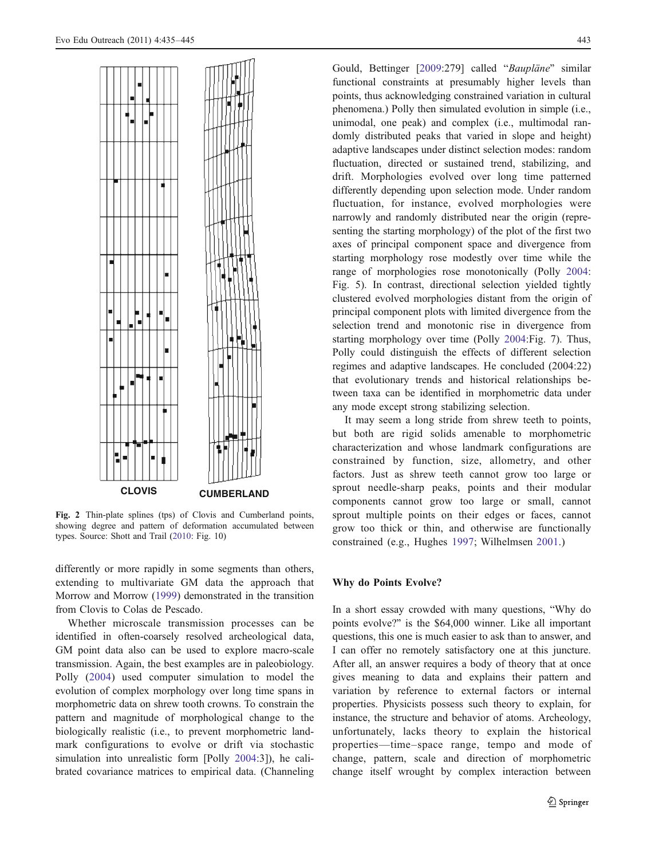<span id="page-8-0"></span>

Fig. 2 Thin-plate splines (tps) of Clovis and Cumberland points, showing degree and pattern of deformation accumulated between types. Source: Shott and Trail ([2010:](#page-10-0) Fig. 10)

differently or more rapidly in some segments than others, extending to multivariate GM data the approach that Morrow and Morrow [\(1999\)](#page-10-0) demonstrated in the transition from Clovis to Colas de Pescado.

Whether microscale transmission processes can be identified in often-coarsely resolved archeological data, GM point data also can be used to explore macro-scale transmission. Again, the best examples are in paleobiology. Polly [\(2004\)](#page-10-0) used computer simulation to model the evolution of complex morphology over long time spans in morphometric data on shrew tooth crowns. To constrain the pattern and magnitude of morphological change to the biologically realistic (i.e., to prevent morphometric landmark configurations to evolve or drift via stochastic simulation into unrealistic form [Polly [2004](#page-10-0):3]), he calibrated covariance matrices to empirical data. (Channeling

Gould, Bettinger [\[2009](#page-9-0):279] called "Baupläne" similar functional constraints at presumably higher levels than points, thus acknowledging constrained variation in cultural phenomena.) Polly then simulated evolution in simple (i.e., unimodal, one peak) and complex (i.e., multimodal randomly distributed peaks that varied in slope and height) adaptive landscapes under distinct selection modes: random fluctuation, directed or sustained trend, stabilizing, and drift. Morphologies evolved over long time patterned differently depending upon selection mode. Under random fluctuation, for instance, evolved morphologies were narrowly and randomly distributed near the origin (representing the starting morphology) of the plot of the first two axes of principal component space and divergence from starting morphology rose modestly over time while the range of morphologies rose monotonically (Polly [2004:](#page-10-0) Fig. 5). In contrast, directional selection yielded tightly clustered evolved morphologies distant from the origin of principal component plots with limited divergence from the selection trend and monotonic rise in divergence from starting morphology over time (Polly [2004](#page-10-0):Fig. 7). Thus, Polly could distinguish the effects of different selection regimes and adaptive landscapes. He concluded (2004:22) that evolutionary trends and historical relationships between taxa can be identified in morphometric data under any mode except strong stabilizing selection.

It may seem a long stride from shrew teeth to points, but both are rigid solids amenable to morphometric characterization and whose landmark configurations are constrained by function, size, allometry, and other factors. Just as shrew teeth cannot grow too large or sprout needle-sharp peaks, points and their modular components cannot grow too large or small, cannot sprout multiple points on their edges or faces, cannot grow too thick or thin, and otherwise are functionally constrained (e.g., Hughes [1997](#page-10-0); Wilhelmsen [2001](#page-10-0).)

# Why do Points Evolve?

In a short essay crowded with many questions, "Why do points evolve?" is the \$64,000 winner. Like all important questions, this one is much easier to ask than to answer, and I can offer no remotely satisfactory one at this juncture. After all, an answer requires a body of theory that at once gives meaning to data and explains their pattern and variation by reference to external factors or internal properties. Physicists possess such theory to explain, for instance, the structure and behavior of atoms. Archeology, unfortunately, lacks theory to explain the historical properties—time–space range, tempo and mode of change, pattern, scale and direction of morphometric change itself wrought by complex interaction between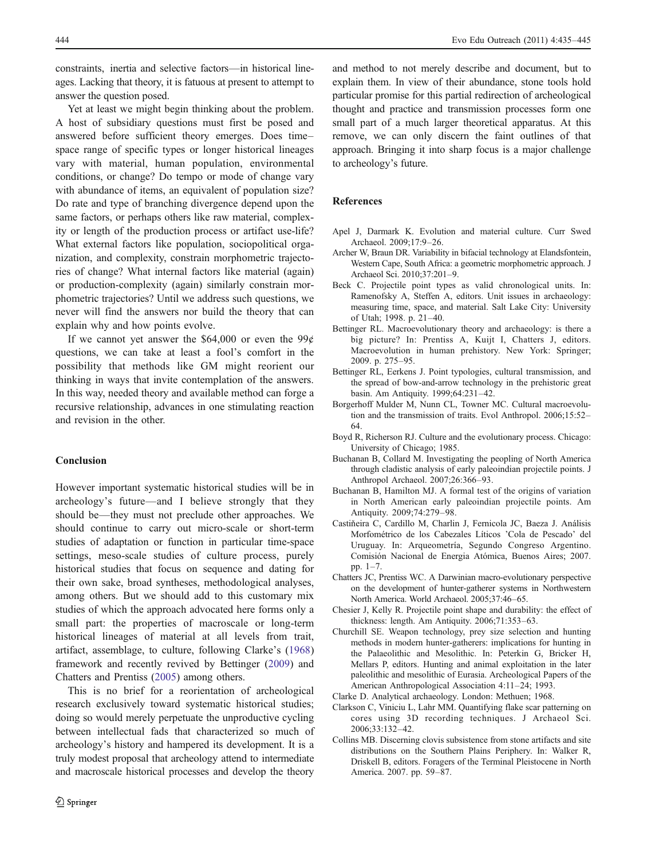<span id="page-9-0"></span>constraints, inertia and selective factors—in historical lineages. Lacking that theory, it is fatuous at present to attempt to answer the question posed.

Yet at least we might begin thinking about the problem. A host of subsidiary questions must first be posed and answered before sufficient theory emerges. Does time– space range of specific types or longer historical lineages vary with material, human population, environmental conditions, or change? Do tempo or mode of change vary with abundance of items, an equivalent of population size? Do rate and type of branching divergence depend upon the same factors, or perhaps others like raw material, complexity or length of the production process or artifact use-life? What external factors like population, sociopolitical organization, and complexity, constrain morphometric trajectories of change? What internal factors like material (again) or production-complexity (again) similarly constrain morphometric trajectories? Until we address such questions, we never will find the answers nor build the theory that can explain why and how points evolve.

If we cannot yet answer the  $$64,000$  or even the  $99¢$ questions, we can take at least a fool's comfort in the possibility that methods like GM might reorient our thinking in ways that invite contemplation of the answers. In this way, needed theory and available method can forge a recursive relationship, advances in one stimulating reaction and revision in the other.

## Conclusion

However important systematic historical studies will be in archeology's future—and I believe strongly that they should be—they must not preclude other approaches. We should continue to carry out micro-scale or short-term studies of adaptation or function in particular time-space settings, meso-scale studies of culture process, purely historical studies that focus on sequence and dating for their own sake, broad syntheses, methodological analyses, among others. But we should add to this customary mix studies of which the approach advocated here forms only a small part: the properties of macroscale or long-term historical lineages of material at all levels from trait, artifact, assemblage, to culture, following Clarke's (1968) framework and recently revived by Bettinger (2009) and Chatters and Prentiss (2005) among others.

This is no brief for a reorientation of archeological research exclusively toward systematic historical studies; doing so would merely perpetuate the unproductive cycling between intellectual fads that characterized so much of archeology's history and hampered its development. It is a truly modest proposal that archeology attend to intermediate and macroscale historical processes and develop the theory

and method to not merely describe and document, but to explain them. In view of their abundance, stone tools hold particular promise for this partial redirection of archeological thought and practice and transmission processes form one small part of a much larger theoretical apparatus. At this remove, we can only discern the faint outlines of that approach. Bringing it into sharp focus is a major challenge to archeology's future.

# References

- Apel J, Darmark K. Evolution and material culture. Curr Swed Archaeol. 2009;17:9–26.
- Archer W, Braun DR. Variability in bifacial technology at Elandsfontein, Western Cape, South Africa: a geometric morphometric approach. J Archaeol Sci. 2010;37:201–9.
- Beck C. Projectile point types as valid chronological units. In: Ramenofsky A, Steffen A, editors. Unit issues in archaeology: measuring time, space, and material. Salt Lake City: University of Utah; 1998. p. 21–40.
- Bettinger RL. Macroevolutionary theory and archaeology: is there a big picture? In: Prentiss A, Kuijt I, Chatters J, editors. Macroevolution in human prehistory. New York: Springer; 2009. p. 275–95.
- Bettinger RL, Eerkens J. Point typologies, cultural transmission, and the spread of bow-and-arrow technology in the prehistoric great basin. Am Antiquity. 1999;64:231–42.
- Borgerhoff Mulder M, Nunn CL, Towner MC. Cultural macroevolution and the transmission of traits. Evol Anthropol. 2006;15:52– 64.
- Boyd R, Richerson RJ. Culture and the evolutionary process. Chicago: University of Chicago; 1985.
- Buchanan B, Collard M. Investigating the peopling of North America through cladistic analysis of early paleoindian projectile points. J Anthropol Archaeol. 2007;26:366–93.
- Buchanan B, Hamilton MJ. A formal test of the origins of variation in North American early paleoindian projectile points. Am Antiquity. 2009;74:279–98.
- Castiňeira C, Cardillo M, Charlin J, Fernicola JC, Baeza J. Análisis Morfométrico de los Cabezales Líticos 'Cola de Pescado' del Uruguay. In: Arqueometría, Segundo Congreso Argentino. Comisión Nacional de Energia Atómica, Buenos Aires; 2007. pp. 1–7.
- Chatters JC, Prentiss WC. A Darwinian macro-evolutionary perspective on the development of hunter-gatherer systems in Northwestern North America. World Archaeol. 2005;37:46–65.
- Chesier J, Kelly R. Projectile point shape and durability: the effect of thickness: length. Am Antiquity. 2006;71:353–63.
- Churchill SE. Weapon technology, prey size selection and hunting methods in modern hunter-gatherers: implications for hunting in the Palaeolithic and Mesolithic. In: Peterkin G, Bricker H, Mellars P, editors. Hunting and animal exploitation in the later paleolithic and mesolithic of Eurasia. Archeological Papers of the American Anthropological Association 4:11–24; 1993.
- Clarke D. Analytical archaeology. London: Methuen; 1968.
- Clarkson C, Viniciu L, Lahr MM. Quantifying flake scar patterning on cores using 3D recording techniques. J Archaeol Sci. 2006;33:132–42.
- Collins MB. Discerning clovis subsistence from stone artifacts and site distributions on the Southern Plains Periphery. In: Walker R, Driskell B, editors. Foragers of the Terminal Pleistocene in North America. 2007. pp. 59–87.